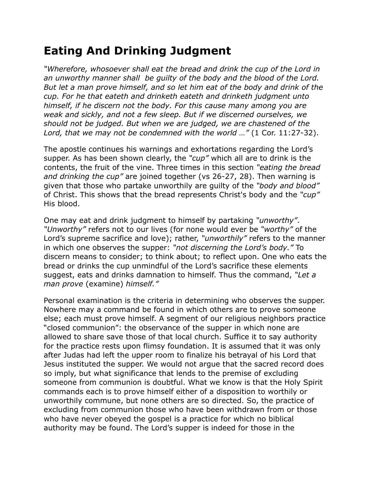## **Eating And Drinking Judgment**

*"Wherefore, whosoever shall eat the bread and drink the cup of the Lord in an unworthy manner shall be guilty of the body and the blood of the Lord. But let a man prove himself, and so let him eat of the body and drink of the cup. For he that eateth and drinketh eateth and drinketh judgment unto himself, if he discern not the body. For this cause many among you are weak and sickly, and not a few sleep. But if we discerned ourselves, we should not be judged. But when we are judged, we are chastened of the Lord, that we may not be condemned with the world …"* (1 Cor. 11:27-32).

The apostle continues his warnings and exhortations regarding the Lord's supper. As has been shown clearly, the *"cup"* which all are to drink is the contents, the fruit of the vine. Three times in this section *"eating the bread and drinking the cup"* are joined together (vs 26-27, 28). Then warning is given that those who partake unworthily are guilty of the *"body and blood"* of Christ. This shows that the bread represents Christ's body and the *"cup"* His blood.

One may eat and drink judgment to himself by partaking *"unworthy"*. *"Unworthy"* refers not to our lives (for none would ever be *"worthy"* of the Lord's supreme sacrifice and love); rather, *"unworthily"* refers to the manner in which one observes the supper: *"not discerning the Lord's body."* To discern means to consider; to think about; to reflect upon. One who eats the bread or drinks the cup unmindful of the Lord's sacrifice these elements suggest, eats and drinks damnation to himself. Thus the command, *"Let a man prove* (examine) *himself."*

Personal examination is the criteria in determining who observes the supper. Nowhere may a command be found in which others are to prove someone else; each must prove himself. A segment of our religious neighbors practice "closed communion": the observance of the supper in which none are allowed to share save those of that local church. Suffice it to say authority for the practice rests upon flimsy foundation. It is assumed that it was only after Judas had left the upper room to finalize his betrayal of his Lord that Jesus instituted the supper. We would not argue that the sacred record does so imply, but what significance that lends to the premise of excluding someone from communion is doubtful. What we know is that the Holy Spirit commands each is to prove himself either of a disposition to worthily or unworthily commune, but none others are so directed. So, the practice of excluding from communion those who have been withdrawn from or those who have never obeyed the gospel is a practice for which no biblical authority may be found. The Lord's supper is indeed for those in the